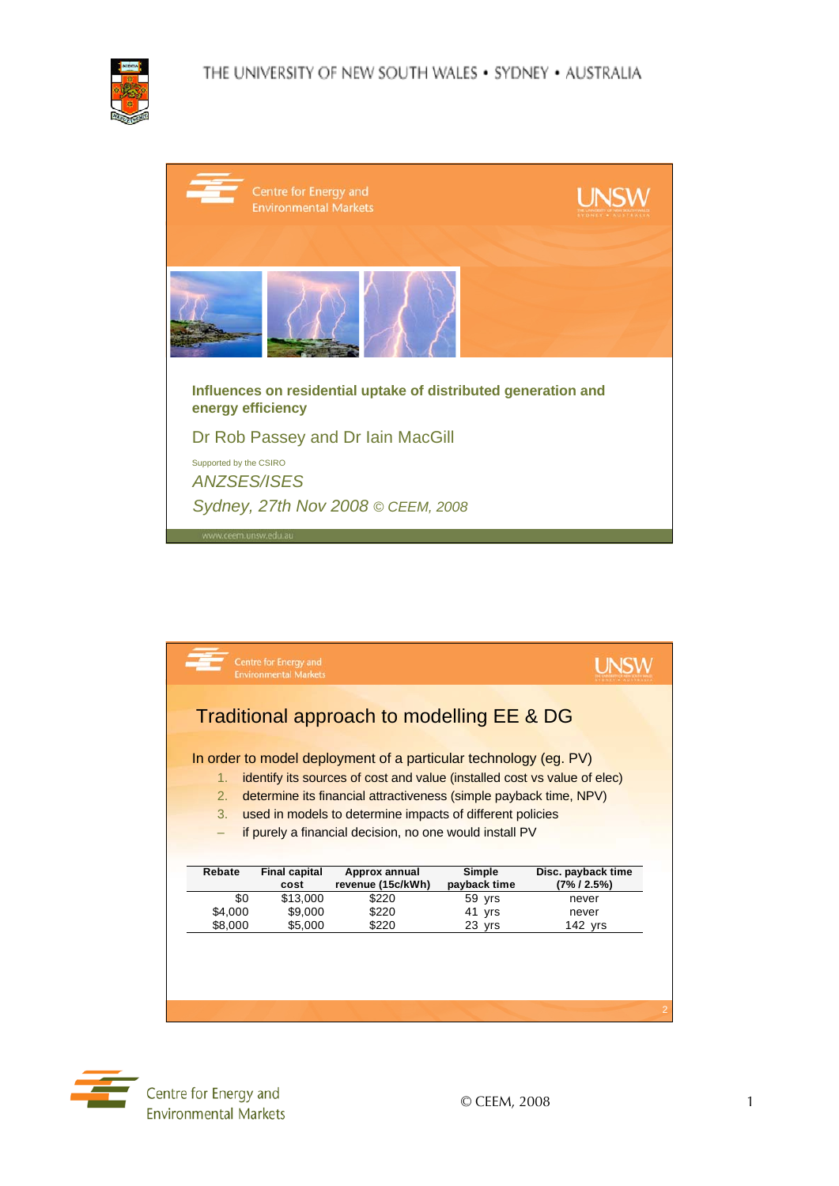

| Centre for Energy and<br><b>Environmental Markets</b>                               | <b>UNSW</b><br>IVONEY . AUSTI |
|-------------------------------------------------------------------------------------|-------------------------------|
|                                                                                     |                               |
| Influences on residential uptake of distributed generation and<br>energy efficiency |                               |
| Dr Rob Passey and Dr Iain MacGill<br>Supported by the CSIRO                         |                               |
| <b>ANZSES/ISES</b>                                                                  |                               |
| Sydney, 27th Nov 2008 © CEEM, 2008<br>JANAAL CROM UNDER ROULD                       |                               |

|                | Centre for Energy and<br><b>Environmental Markets</b> |                                                                          |                        |                                   |
|----------------|-------------------------------------------------------|--------------------------------------------------------------------------|------------------------|-----------------------------------|
|                |                                                       | Traditional approach to modelling EE & DG                                |                        |                                   |
|                |                                                       |                                                                          |                        |                                   |
|                |                                                       |                                                                          |                        |                                   |
|                |                                                       | In order to model deployment of a particular technology (eg. PV)         |                        |                                   |
| 1 <sub>1</sub> |                                                       | identify its sources of cost and value (installed cost vs value of elec) |                        |                                   |
| 2.             |                                                       | determine its financial attractiveness (simple payback time, NPV)        |                        |                                   |
|                |                                                       |                                                                          |                        |                                   |
| $\mathcal{R}$  |                                                       | used in models to determine impacts of different policies                |                        |                                   |
| -              |                                                       | if purely a financial decision, no one would install PV                  |                        |                                   |
|                |                                                       |                                                                          |                        |                                   |
|                |                                                       |                                                                          |                        |                                   |
| Rebate         | <b>Final capital</b><br>cost                          | Approx annual<br>revenue (15c/kWh)                                       | Simple<br>payback time | Disc. payback time<br>(7% / 2.5%) |
| \$0            | \$13,000                                              | \$220                                                                    | 59 yrs                 | never                             |
| \$4,000        | \$9,000                                               | \$220                                                                    | 41<br>vrs              | never                             |
| \$8,000        | \$5,000                                               | \$220                                                                    | 23 yrs                 | $142$ yrs                         |
|                |                                                       |                                                                          |                        |                                   |
|                |                                                       |                                                                          |                        |                                   |
|                |                                                       |                                                                          |                        |                                   |
|                |                                                       |                                                                          |                        |                                   |

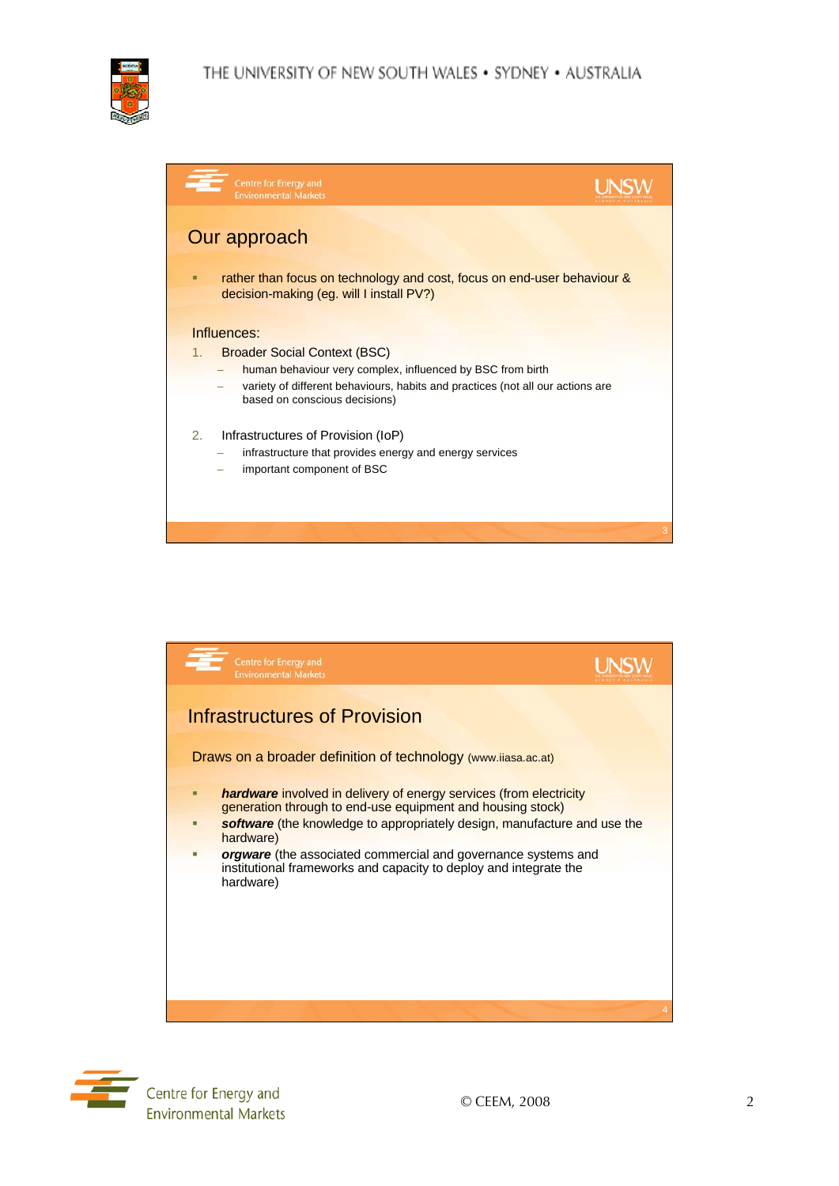

| Centre for Energy and<br><b>Environmental Markets</b>                                                                                                                                                                                     |  |
|-------------------------------------------------------------------------------------------------------------------------------------------------------------------------------------------------------------------------------------------|--|
| Our approach<br>rather than focus on technology and cost, focus on end-user behaviour &<br>п<br>decision-making (eg. will I install PV?)                                                                                                  |  |
| Influences:<br><b>Broader Social Context (BSC)</b><br>1.<br>human behaviour very complex, influenced by BSC from birth<br>variety of different behaviours, habits and practices (not all our actions are<br>based on conscious decisions) |  |
| 2.<br>Infrastructures of Provision (IoP)<br>infrastructure that provides energy and energy services<br>important component of BSC                                                                                                         |  |



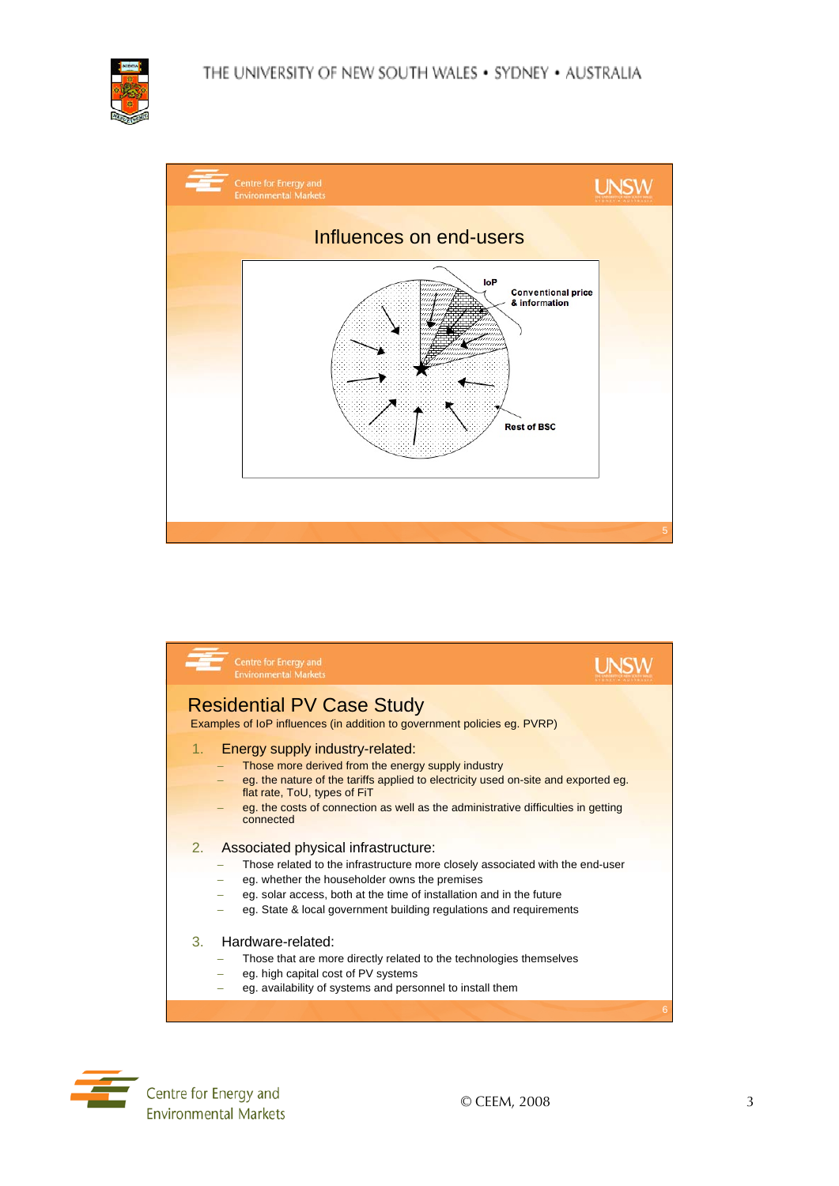







 $\overline{\phantom{a}}$  Centre for Energy and **Environmental Markets**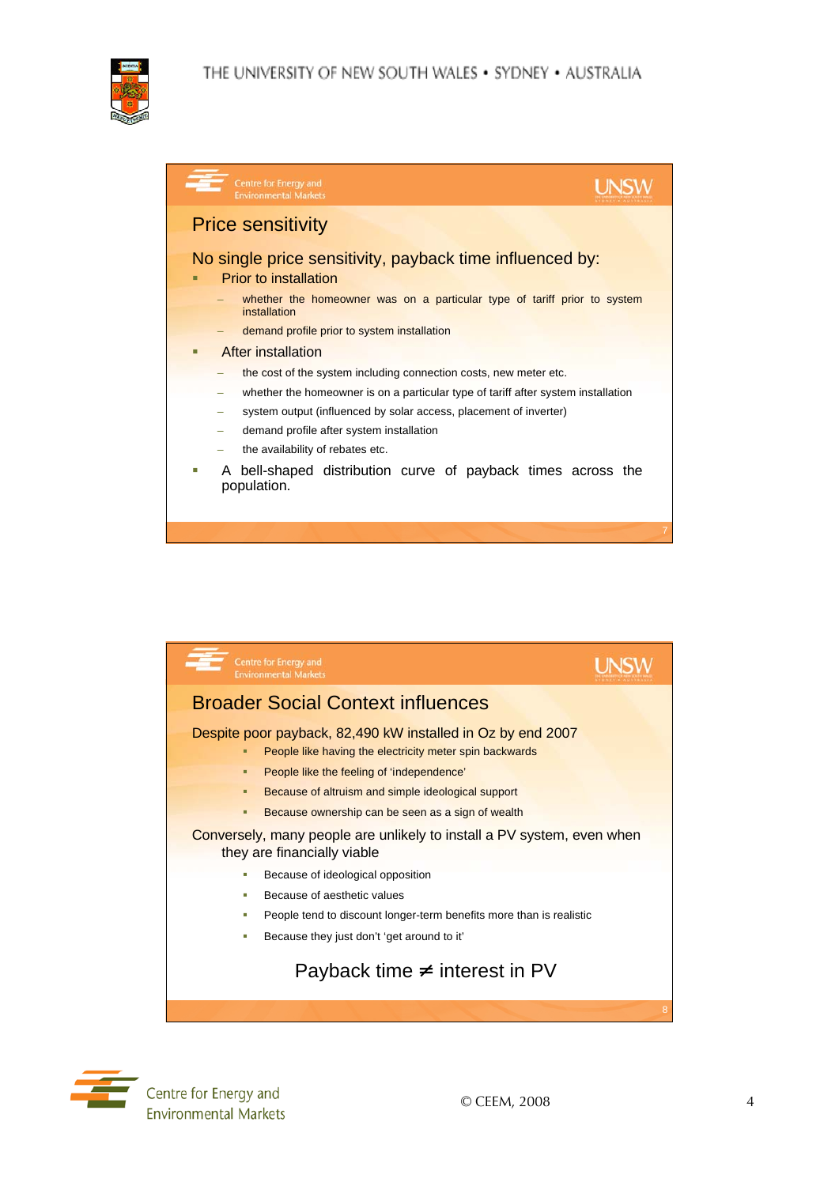

| Centre for Energy and<br><b>Environmental Markets</b>                                    |  |
|------------------------------------------------------------------------------------------|--|
| <b>Price sensitivity</b>                                                                 |  |
| No single price sensitivity, payback time influenced by:<br>Prior to installation        |  |
| whether the homeowner was on a particular type of tariff prior to system<br>installation |  |
| demand profile prior to system installation                                              |  |
| After installation                                                                       |  |
| the cost of the system including connection costs, new meter etc.                        |  |
| whether the homeowner is on a particular type of tariff after system installation        |  |
| system output (influenced by solar access, placement of inverter)                        |  |
| demand profile after system installation                                                 |  |
| the availability of rebates etc.                                                         |  |
| A bell-shaped distribution curve of payback times across the<br>population.              |  |
|                                                                                          |  |



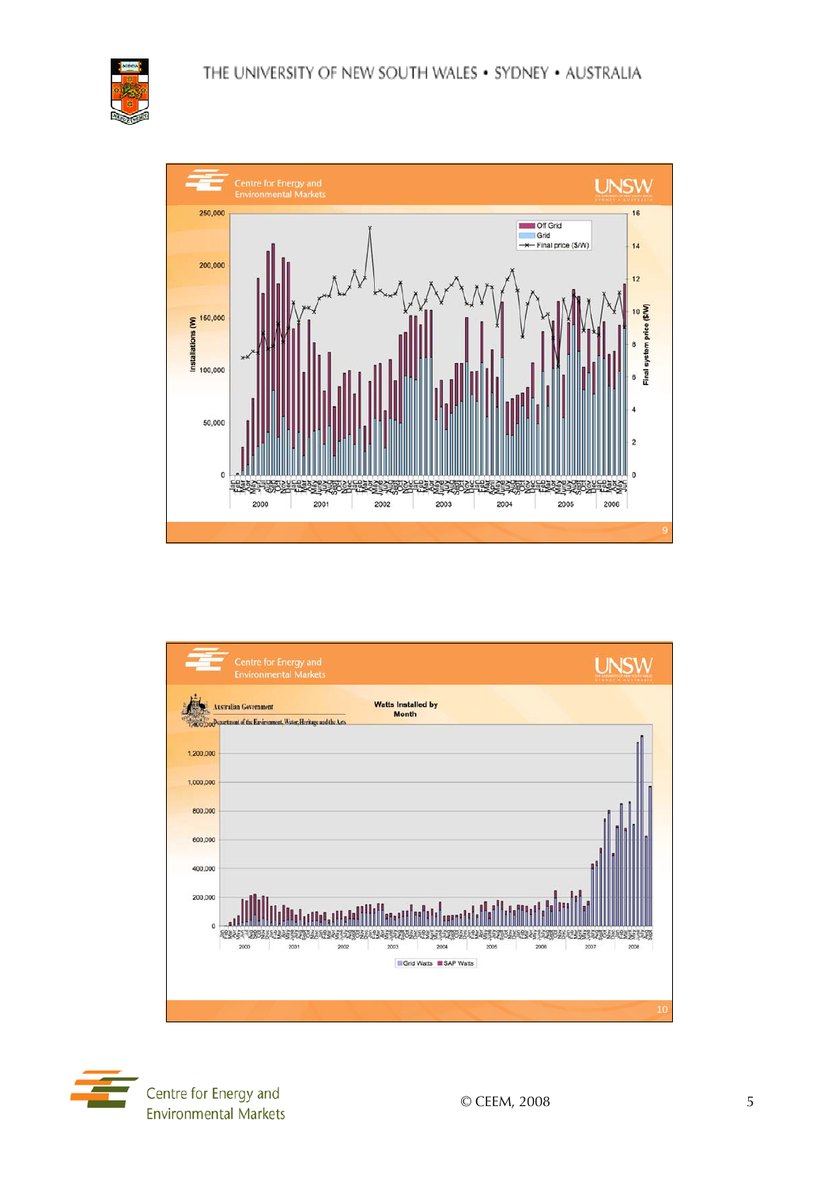





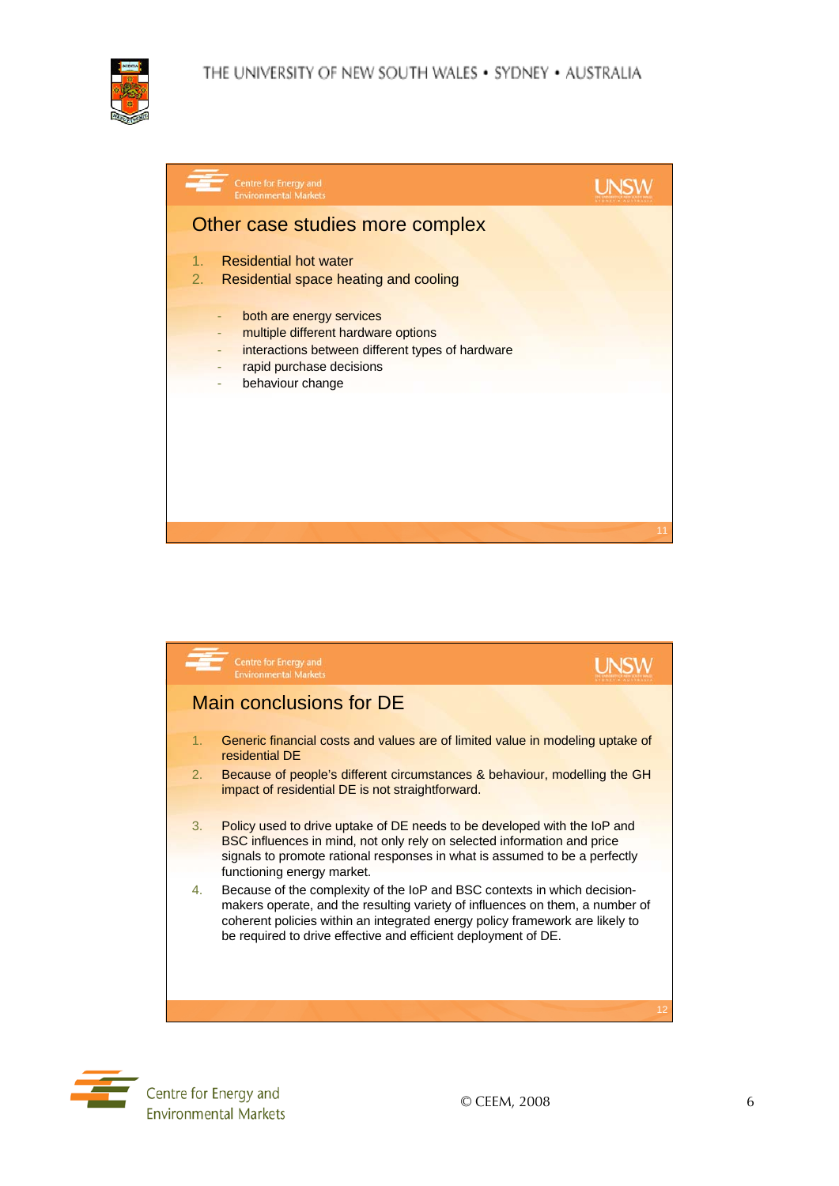

| Other case studies more complex                                                                                                                                               |  |
|-------------------------------------------------------------------------------------------------------------------------------------------------------------------------------|--|
| <b>Residential hot water</b><br>1.<br>2.<br>Residential space heating and cooling                                                                                             |  |
| both are energy services<br>٠<br>multiple different hardware options<br>٠<br>interactions between different types of hardware<br>rapid purchase decisions<br>behaviour change |  |





Centre for Energy and **Environmental Markets**